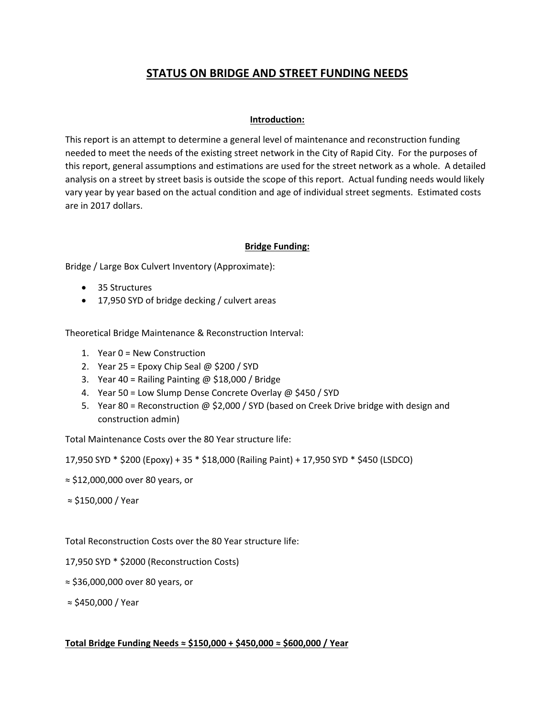# **STATUS ON BRIDGE AND STREET FUNDING NEEDS**

### **Introduction:**

This report is an attempt to determine a general level of maintenance and reconstruction funding needed to meet the needs of the existing street network in the City of Rapid City. For the purposes of this report, general assumptions and estimations are used for the street network as a whole. A detailed analysis on a street by street basis is outside the scope of this report. Actual funding needs would likely vary year by year based on the actual condition and age of individual street segments. Estimated costs are in 2017 dollars.

### **Bridge Funding:**

Bridge / Large Box Culvert Inventory (Approximate):

- 35 Structures
- 17,950 SYD of bridge decking / culvert areas

Theoretical Bridge Maintenance & Reconstruction Interval:

- 1. Year 0 = New Construction
- 2. Year 25 = Epoxy Chip Seal @ \$200 / SYD
- 3. Year 40 = Railing Painting  $\omega$  \$18,000 / Bridge
- 4. Year 50 = Low Slump Dense Concrete Overlay @ \$450 / SYD
- 5. Year 80 = Reconstruction @ \$2,000 / SYD (based on Creek Drive bridge with design and construction admin)

Total Maintenance Costs over the 80 Year structure life:

17,950 SYD \* \$200 (Epoxy) + 35 \* \$18,000 (Railing Paint) + 17,950 SYD \* \$450 (LSDCO)

- ≈ \$12,000,000 over 80 years, or
- ≈ \$150,000 / Year

Total Reconstruction Costs over the 80 Year structure life:

- 17,950 SYD \* \$2000 (Reconstruction Costs)
- ≈ \$36,000,000 over 80 years, or

≈ \$450,000 / Year

### **Total Bridge Funding Needs ≈ \$150,000 + \$450,000 ≈ \$600,000 / Year**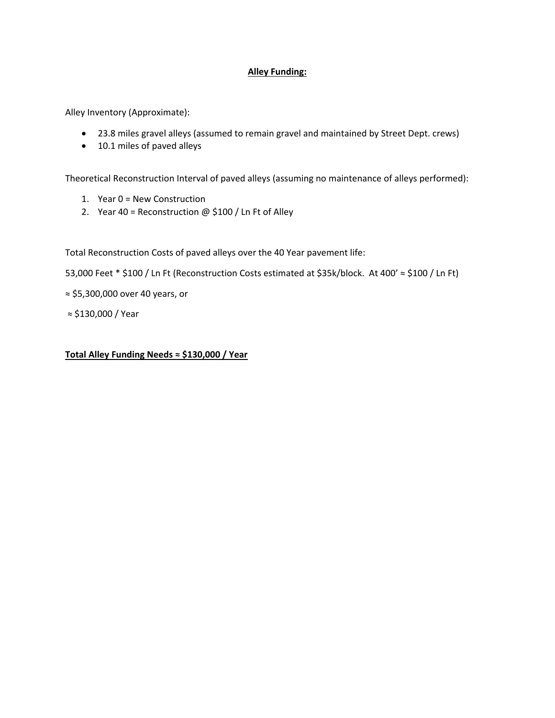# **Alley Funding:**

Alley Inventory (Approximate):

- 23.8 miles gravel alleys (assumed to remain gravel and maintained by Street Dept. crews)
- 10.1 miles of paved alleys

Theoretical Reconstruction Interval of paved alleys (assuming no maintenance of alleys performed):

- 1. Year 0 = New Construction
- 2. Year 40 = Reconstruction  $\omega$  \$100 / Ln Ft of Alley

Total Reconstruction Costs of paved alleys over the 40 Year pavement life:

53,000 Feet \* \$100 / Ln Ft (Reconstruction Costs estimated at \$35k/block. At 400' ≈ \$100 / Ln Ft)

≈ \$5,300,000 over 40 years, or

≈ \$130,000 / Year

**Total Alley Funding Needs ≈ \$130,000 / Year**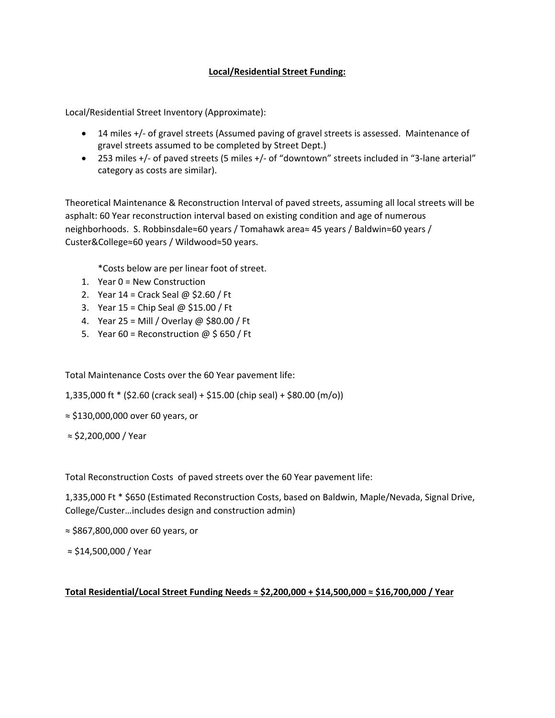# **Local/Residential Street Funding:**

Local/Residential Street Inventory (Approximate):

- 14 miles +/- of gravel streets (Assumed paving of gravel streets is assessed. Maintenance of gravel streets assumed to be completed by Street Dept.)
- 253 miles +/- of paved streets (5 miles +/- of "downtown" streets included in "3-lane arterial" category as costs are similar).

Theoretical Maintenance & Reconstruction Interval of paved streets, assuming all local streets will be asphalt: 60 Year reconstruction interval based on existing condition and age of numerous neighborhoods. S. Robbinsdale≈60 years / Tomahawk area≈ 45 years / Baldwin≈60 years / Custer&College≈60 years / Wildwood≈50 years.

\*Costs below are per linear foot of street.

- 1. Year 0 = New Construction
- 2. Year  $14 =$  Crack Seal @ \$2.60 / Ft
- 3. Year 15 = Chip Seal @ \$15.00 / Ft
- 4. Year 25 = Mill / Overlay @ \$80.00 / Ft
- 5. Year 60 = Reconstruction  $\omega$  \$ 650 / Ft

Total Maintenance Costs over the 60 Year pavement life:

1,335,000 ft  $*(52.60$  (crack seal) + \$15.00 (chip seal) + \$80.00 (m/o))

≈ \$130,000,000 over 60 years, or

≈ \$2,200,000 / Year

Total Reconstruction Costs of paved streets over the 60 Year pavement life:

1,335,000 Ft \* \$650 (Estimated Reconstruction Costs, based on Baldwin, Maple/Nevada, Signal Drive, College/Custer…includes design and construction admin)

≈ \$867,800,000 over 60 years, or

≈ \$14,500,000 / Year

#### **Total Residential/Local Street Funding Needs ≈ \$2,200,000 + \$14,500,000 ≈ \$16,700,000 / Year**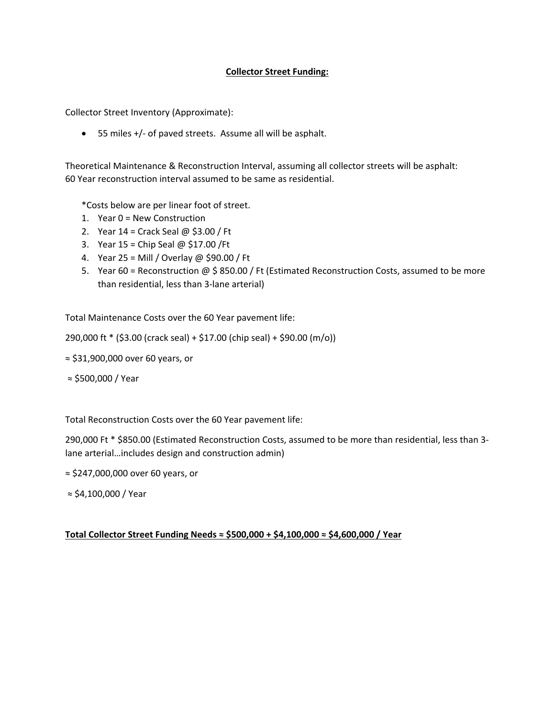### **Collector Street Funding:**

Collector Street Inventory (Approximate):

● 55 miles +/- of paved streets. Assume all will be asphalt.

Theoretical Maintenance & Reconstruction Interval, assuming all collector streets will be asphalt: 60 Year reconstruction interval assumed to be same as residential.

\*Costs below are per linear foot of street.

- 1. Year 0 = New Construction
- 2. Year  $14 =$  Crack Seal @ \$3.00 / Ft
- 3. Year 15 = Chip Seal @ \$17.00 /Ft
- 4. Year 25 = Mill / Overlay @ \$90.00 / Ft
- 5. Year 60 = Reconstruction @ \$ 850.00 / Ft (Estimated Reconstruction Costs, assumed to be more than residential, less than 3‐lane arterial)

Total Maintenance Costs over the 60 Year pavement life:

290,000 ft \* (\$3.00 (crack seal) + \$17.00 (chip seal) + \$90.00 (m/o))

- ≈ \$31,900,000 over 60 years, or
- ≈ \$500,000 / Year

Total Reconstruction Costs over the 60 Year pavement life:

290,000 Ft \* \$850.00 (Estimated Reconstruction Costs, assumed to be more than residential, less than 3‐ lane arterial…includes design and construction admin)

≈ \$247,000,000 over 60 years, or

≈ \$4,100,000 / Year

#### **Total Collector Street Funding Needs ≈ \$500,000 + \$4,100,000 ≈ \$4,600,000 / Year**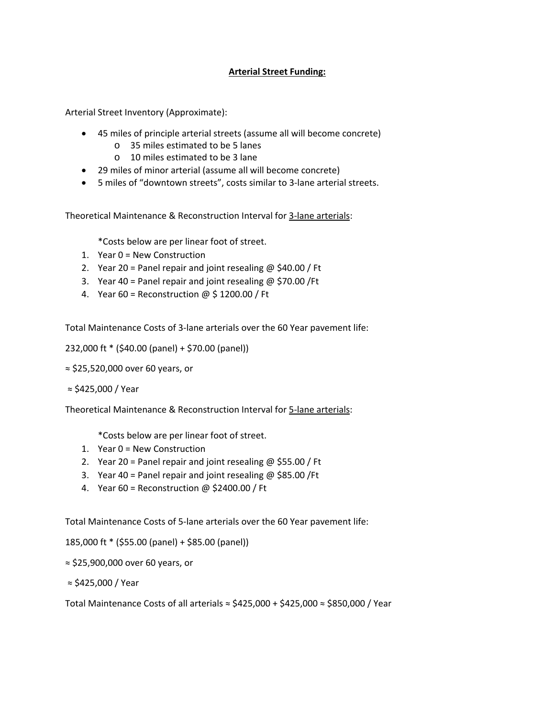# **Arterial Street Funding:**

Arterial Street Inventory (Approximate):

- 45 miles of principle arterial streets (assume all will become concrete)
	- o 35 miles estimated to be 5 lanes
	- o 10 miles estimated to be 3 lane
- 29 miles of minor arterial (assume all will become concrete)
- 5 miles of "downtown streets", costs similar to 3‐lane arterial streets.

Theoretical Maintenance & Reconstruction Interval for 3‐lane arterials:

\*Costs below are per linear foot of street.

- 1. Year 0 = New Construction
- 2. Year 20 = Panel repair and joint resealing  $\omega$  \$40.00 / Ft
- 3. Year 40 = Panel repair and joint resealing  $\omega$  \$70.00 /Ft
- 4. Year 60 = Reconstruction  $\omega$  \$ 1200.00 / Ft

Total Maintenance Costs of 3‐lane arterials over the 60 Year pavement life:

232,000 ft \* (\$40.00 (panel) + \$70.00 (panel))

≈ \$25,520,000 over 60 years, or

≈ \$425,000 / Year

Theoretical Maintenance & Reconstruction Interval for 5‐lane arterials:

\*Costs below are per linear foot of street.

- 1. Year 0 = New Construction
- 2. Year 20 = Panel repair and joint resealing  $\omega$  \$55.00 / Ft
- 3. Year 40 = Panel repair and joint resealing @ \$85.00 /Ft
- 4. Year 60 = Reconstruction @ \$2400.00 / Ft

Total Maintenance Costs of 5‐lane arterials over the 60 Year pavement life:

185,000 ft \* (\$55.00 (panel) + \$85.00 (panel))

≈ \$25,900,000 over 60 years, or

≈ \$425,000 / Year

Total Maintenance Costs of all arterials  $\approx$  \$425,000 + \$425,000  $\approx$  \$850,000 / Year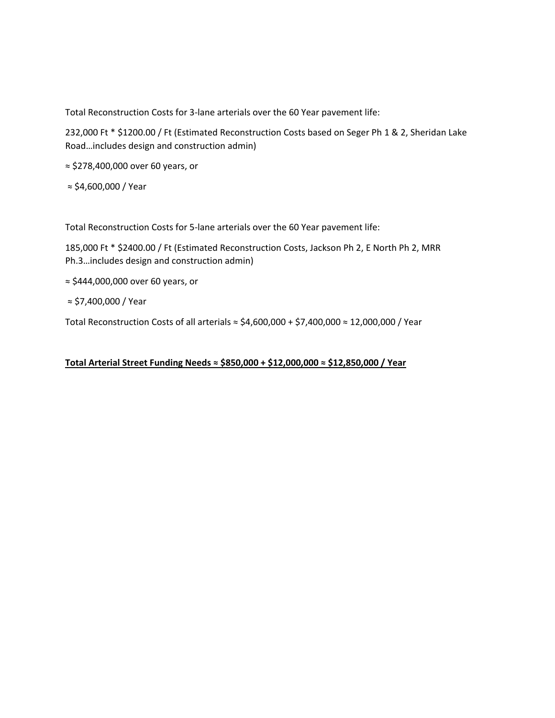Total Reconstruction Costs for 3‐lane arterials over the 60 Year pavement life:

232,000 Ft \* \$1200.00 / Ft (Estimated Reconstruction Costs based on Seger Ph 1 & 2, Sheridan Lake Road…includes design and construction admin)

≈ \$278,400,000 over 60 years, or

≈ \$4,600,000 / Year

Total Reconstruction Costs for 5‐lane arterials over the 60 Year pavement life:

185,000 Ft \* \$2400.00 / Ft (Estimated Reconstruction Costs, Jackson Ph 2, E North Ph 2, MRR Ph.3…includes design and construction admin)

≈ \$444,000,000 over 60 years, or

≈ \$7,400,000 / Year

Total Reconstruction Costs of all arterials ≈ \$4,600,000 + \$7,400,000 ≈ 12,000,000 / Year

# **Total Arterial Street Funding Needs ≈ \$850,000 + \$12,000,000 ≈ \$12,850,000 / Year**